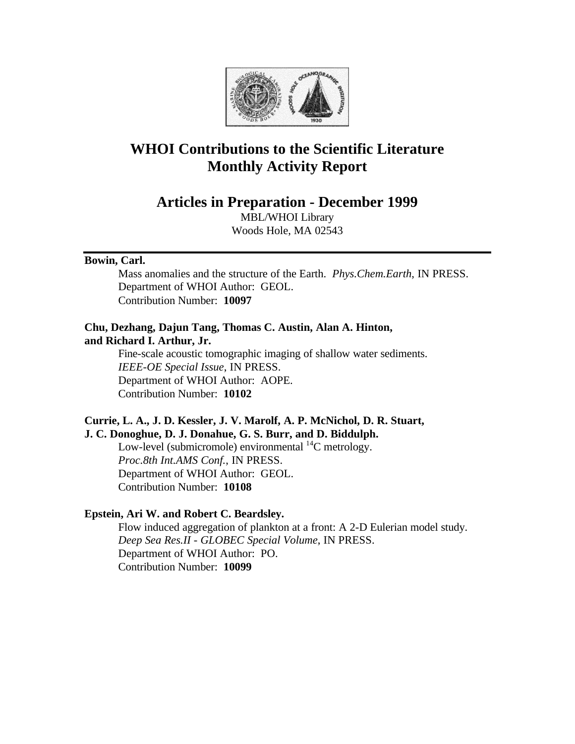

# **WHOI Contributions to the Scientific Literature Monthly Activity Report**

**Articles in Preparation - December 1999**

MBL/WHOI Library Woods Hole, MA 02543

# **Bowin, Carl.**

Mass anomalies and the structure of the Earth. *Phys.Chem.Earth*, IN PRESS. Department of WHOI Author: GEOL. Contribution Number: **10097**

# **Chu, Dezhang, Dajun Tang, Thomas C. Austin, Alan A. Hinton, and Richard I. Arthur, Jr.**

Fine-scale acoustic tomographic imaging of shallow water sediments. *IEEE-OE Special Issue*, IN PRESS. Department of WHOI Author: AOPE. Contribution Number: **10102**

# **Currie, L. A., J. D. Kessler, J. V. Marolf, A. P. McNichol, D. R. Stuart, J. C. Donoghue, D. J. Donahue, G. S. Burr, and D. Biddulph.**

Low-level (submicromole) environmental  $^{14}$ C metrology. *Proc.8th Int.AMS Conf.*, IN PRESS. Department of WHOI Author: GEOL. Contribution Number: **10108**

# **Epstein, Ari W. and Robert C. Beardsley.**

Flow induced aggregation of plankton at a front: A 2-D Eulerian model study. *Deep Sea Res.II - GLOBEC Special Volume*, IN PRESS. Department of WHOI Author: PO. Contribution Number: **10099**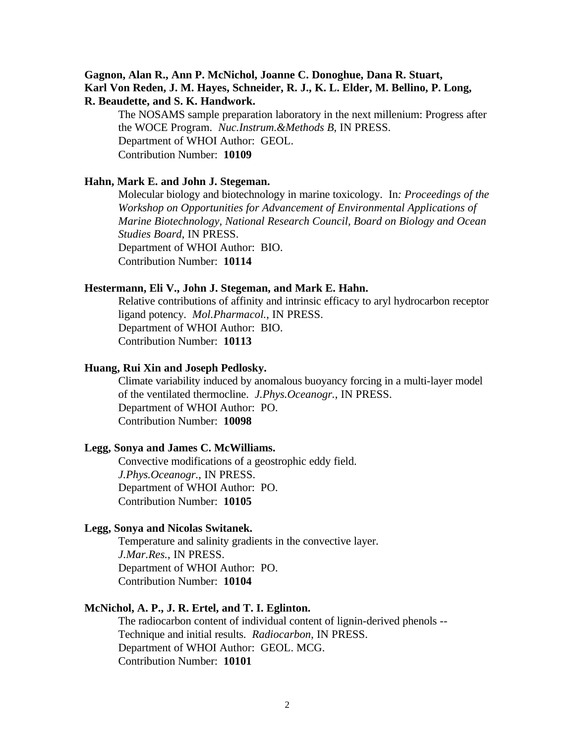# **Gagnon, Alan R., Ann P. McNichol, Joanne C. Donoghue, Dana R. Stuart, Karl Von Reden, J. M. Hayes, Schneider, R. J., K. L. Elder, M. Bellino, P. Long, R. Beaudette, and S. K. Handwork.**

The NOSAMS sample preparation laboratory in the next millenium: Progress after the WOCE Program. *Nuc.Instrum.&Methods B*, IN PRESS. Department of WHOI Author: GEOL. Contribution Number: **10109**

## **Hahn, Mark E. and John J. Stegeman.**

Molecular biology and biotechnology in marine toxicology. In*: Proceedings of the Workshop on Opportunities for Advancement of Environmental Applications of Marine Biotechnology, National Research Council, Board on Biology and Ocean Studies Board*, IN PRESS. Department of WHOI Author: BIO. Contribution Number: **10114**

#### **Hestermann, Eli V., John J. Stegeman, and Mark E. Hahn.**

Relative contributions of affinity and intrinsic efficacy to aryl hydrocarbon receptor ligand potency. *Mol.Pharmacol.*, IN PRESS. Department of WHOI Author: BIO. Contribution Number: **10113**

## **Huang, Rui Xin and Joseph Pedlosky.**

Climate variability induced by anomalous buoyancy forcing in a multi-layer model of the ventilated thermocline. *J.Phys.Oceanogr.*, IN PRESS. Department of WHOI Author: PO. Contribution Number: **10098**

#### **Legg, Sonya and James C. McWilliams.**

Convective modifications of a geostrophic eddy field. *J.Phys.Oceanogr.*, IN PRESS. Department of WHOI Author: PO. Contribution Number: **10105**

# **Legg, Sonya and Nicolas Switanek.**

Temperature and salinity gradients in the convective layer. *J.Mar.Res.*, IN PRESS. Department of WHOI Author: PO. Contribution Number: **10104**

## **McNichol, A. P., J. R. Ertel, and T. I. Eglinton.**

The radiocarbon content of individual content of lignin-derived phenols -- Technique and initial results. *Radiocarbon*, IN PRESS. Department of WHOI Author: GEOL. MCG. Contribution Number: **10101**